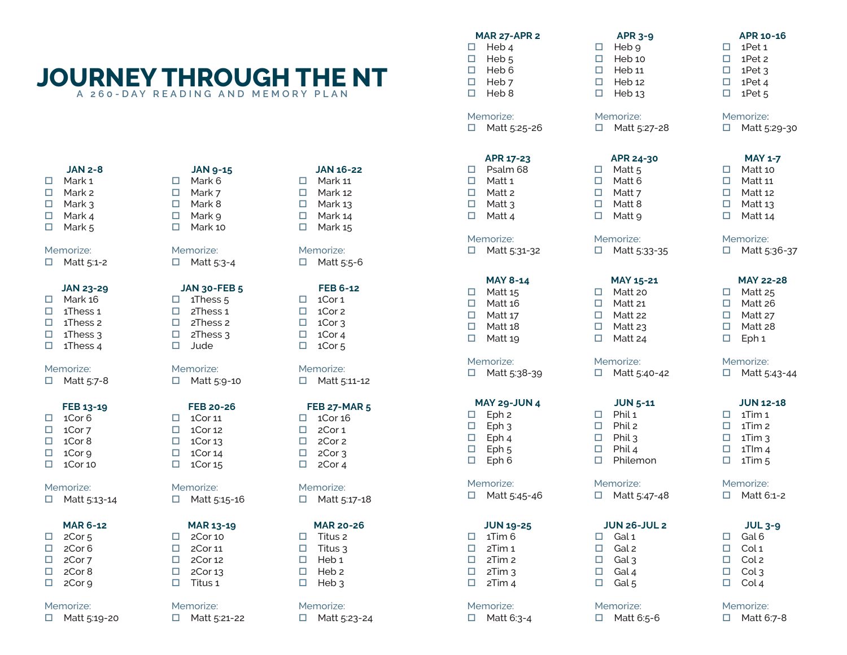# **JOURNEY THROUGH THE NT A 260-DAY READING AND MEMORY PLAN**

### **JAN 2-8**

- □ Mark 1  $\Box$  Mark 2  $\Box$  Mark 3  $\Box$  Mark 4
- $\Box$  Mark 5

### Memorize:

 $\Box$  Matt 5:1-2

### **JAN 23-29**

- $\Box$  Mark 16
- $\Box$  1Thess 1  $\Box$  1Thess 2
- $\Box$  1Thess 3
- $\Box$  1Thess 4

### Memorize:

 $\Box$  Matt 5:7-8

### **FEB 13-19**

 $\Box$  1Cor 6  $\Box$  1Cor 7  $\Box$  1Cor 8  $\Box$  1Cor 9  $\Box$  1Cor 10

### Memorize:

□ Matt 5:13-14

### **MAR 6-12**

- $\Box$  2Cor 5  $\Box$  2Cor 6  $\Box$  2Cor 7  $\Box$  2Cor 8
- $\Box$  2Cor 9

### Memorize:

 $\Box$  Matt 5:19-20

### **JAN 9-15**  $\Box$  Mark 6  $\Box$  Mark 7  $\Box$  Mark 8  $\Box$  Mark 9  $\Box$  Mark 10

Memorize:  $\Box$  Matt 5:3-4

### **JAN 30-FEB 5**

 $\Box$  1Thess 5  $\Box$  2Thess 1  $\Box$  2Thess 2  $\Box$  2Thess 3  $\square$  Jude

### Memorize: □ Matt 5:9-10

**FEB 20-26**

### $\Box$  1Cor 11  $\Box$  1Cor 12  $\Box$  1Cor 13  $\Box$  1Cor 14  $\Box$  1Cor 15

### Memorize:  $\Box$  Matt 5:15-16

### **MAR 13-19**

 $\Box$  2Cor 10  $\Box$  2Cor 11  $\Box$  2Cor 12  $\Box$  2Cor 13  $\Box$  Titus 1

### Memorize:  $\Box$  Matt 5:21-22

### **JAN 16-22** D Mark 11  $\Box$  Mark 12  $\Box$  Mark 13 D Mark 14  $\Box$  Mark 15

Memorize: □ Matt 5:5-6

### **FEB 6-12**

- $\Box$  1Cor 1  $\Box$  1Cor 2  $\Box$  1Cor 3  $\Box$  1Cor 4  $\Box$  1Cor 5
- Memorize:  $\Box$  Matt 5:11-12

### **FEB 27-MAR 5**

 $\Box$  1Cor 16  $\Box$  2Cor 1  $\Box$  2Cor 2  $\Box$  2Cor 3  $\Box$  2Cor 4

### Memorize:  $\Box$  Matt 5:17-18

### **MAR 20-26**

 $\Box$  Titus 2  $\Box$  Titus 3  $\Box$  Heb 1  $\Box$  Heb 2  $\Box$  Heb 3

# Memorize:

 $\Box$  Matt 5:23-24

### **MAR 27-APR 2**

 $\Box$  Heb 4  $\Box$  Heb 5  $\Box$  Heb 6  $\Box$  Heb 7  $\square$  Heb 8

### Memorize:

 $\Box$  Matt 5:25-26

 $\square$  Psalm 68  $\Box$  Matt 1  $\Box$  Matt 2  $\Box$  Matt 3  $\Box$  Matt 4

### Memorize:

 $\Box$  Matt 5:31-32

 $\Box$  Matt 15  $\Box$  Matt 16  $\Box$  Matt 17  $\Box$  Matt 18  $\Box$  Matt 19

# Memorize:

 $\Box$  Matt 5:38-39

### **MAY 29-JUN 4**

 $\square$  Eph 3  $\square$  Eph 4  $\square$  Eph 5  $L$  Eph 6

### Memorize:

 $\Box$  Matt 5:45-46

 $\Box$  1Tim 6

### Memorize:  $\Box$  Matt 6:3-4

# **APR 3-9**  $\Box$  Heb 9

### Memorize:

Memorize:  $\Box$  Matt 5:33-35

Memorize:  $\Box$  Matt 5:40-42

 $\Box$  Phil 1  $\Box$  Phil 2  $\Box$  Phil 3  $\Box$  Phil 4 Philemon

 $\Box$  Matt 5:27-28

**APR 24-30**  $\Box$  Matt 5  $\Box$  Matt 6  $\Box$  Matt 7  $\Box$  Matt 8  $\Box$  Matt 9

**MAY 15-21**  $\Box$  Matt 20  $\Box$  Matt 21  $\Box$  Matt 22  $\Box$  Matt 23  $\Box$  Matt 24

**JUN 5-11**

**JUN 26-JUL 2**

 $\Box$  Gal 1  $\Box$  Gal 2  $\Box$  Gal 3  $\Box$  Gal 4  $\Box$  Gal 5

Memorize:  $\Box$  Matt 5:47-48

Memorize:  $\Box$  Matt 6:5-6

### **MAY 8-14**

### **JUN 19-25**

 $\Box$  2Tim 1  $\Box$  2Tim 2  $\Box$  2Tim 3  $\Box$  2Tim 4

### $\Box$  Heb 10  $\Box$  Heb 11  $\Box$  Heb 12

**APR 10-16**  $\Box$  1Pet 1  $\Box$  1Pet 2  $\Box$  1Pet 3  $\Box$  1Pet 4  $\Box$  1Pet 5

**JUN 12-18**  $\Box$  1Tim 1  $\Box$  1Tim 2  $\Box$  1Tim 3  $\Box$  1Tlm 4  $\Box$  1Tim 5

**MAY 22-28**  $\Box$  Matt 25  $\Box$  Matt 26  $\Box$  Matt 27  $\Box$  Matt 28  $\square$  Eph 1

**JUL 3-9**

Memorize:  $\Box$  Matt 6:1-2

Memorize:  $\Box$  Matt 5:43-44

 $\Box$  Gal 6  $\Box$  Col 1  $\Box$  Col 2  $\Box$  Col 3  $\Box$  Col 4

Memorize:  $\Box$  Matt 6:7-8

Memorize:  $\Box$  Matt 5:29-30

Memorize:  $\Box$  Matt 5:36-37

**MAY 1-7**  $\Box$  Matt 10  $\Box$  Matt 11  $\Box$  Matt 12  $\Box$  Matt 13  $\Box$  Matt 14

 $\Box$  Heb 13

### **APR 17-23**

- 
- 

| П | Eph 2 |
|---|-------|
| ш | Eph 3 |
| ш | Eph 4 |
| □ | Eph 5 |
| ┍ | Fnh C |